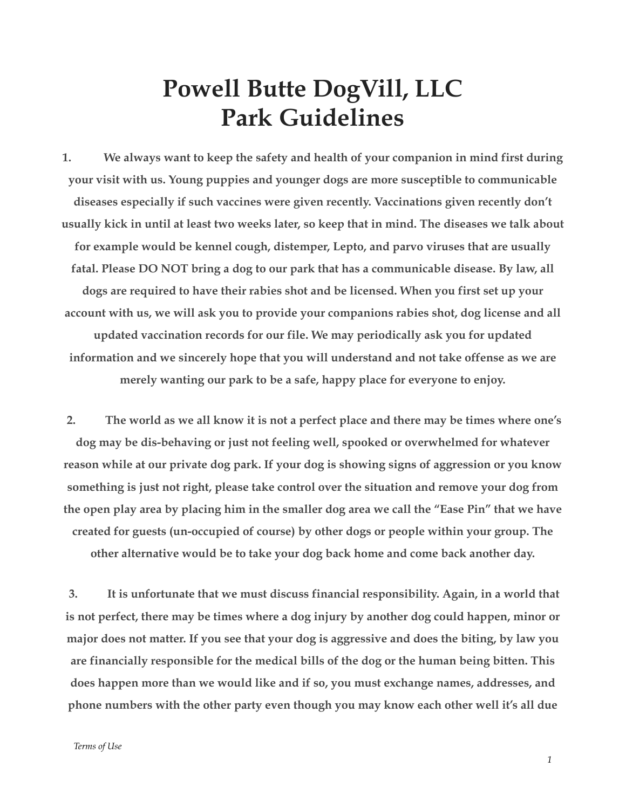## **Powell Butte DogVill, LLC Park Guidelines**

**1. We always want to keep the safety and health of your companion in mind first during your visit with us. Young puppies and younger dogs are more susceptible to communicable diseases especially if such vaccines were given recently. Vaccinations given recently don't** usually kick in until at least two weeks later, so keep that in mind. The diseases we talk about **for example would be kennel cough, distemper, Lepto, and parvo viruses that are usually fatal. Please DO NOT bring a dog to our park that has a communicable disease. By law, all dogs are required to have their rabies shot and be licensed. When you first set up your account with us, we will ask you to provide your companions rabies shot, dog license and all updated vaccination records for our file. We may periodically ask you for updated information and we sincerely hope that you will understand and not take offense as we are merely wanting our park to be a safe, happy place for everyone to enjoy.**

2. The world as we all know it is not a perfect place and there may be times where one's **dog may be dis-behaving or just not feeling well, spooked or overwhelmed for whatever reason while at our private dog park. If your dog is showing signs of aggression or you know something is just not right, please take control over the situation and remove your dog from** the open play area by placing him in the smaller dog area we call the "Ease Pin" that we have **created for guests (un-occupied of course) by other dogs or people within your group. The other alternative would be to take your dog back home and come back another day.**

**3. It is unfortunate that we must discuss financial responsibility. Again, in a world that is not perfect, there may be times where a dog injury by another dog could happen, minor or** major does not matter. If you see that your dog is aggressive and does the biting, by law you **are financially responsible for the medical bills of the dog or the human being bitten. This does happen more than we would like and if so, you must exchange names, addresses, and phone numbers with the other party even though you may know each other well it's all due**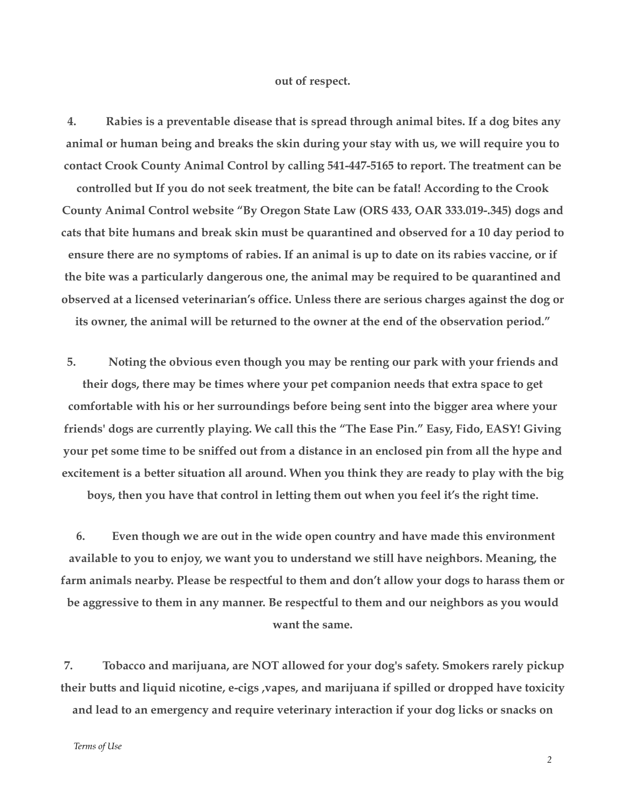## **out of respect.**

**4. Rabies is a preventable disease that is spread through animal bites. If a dog bites any animal or human being and breaks the skin during your stay with us, we will require you to contact Crook County Animal Control by calling 541-447-5165 to report. The treatment can be controlled but If you do not seek treatment, the bite can be fatal! According to the Crook County Animal Control website "By Oregon State Law (ORS 433, OAR 333.019-.345) dogs and cats that bite humans and break skin must be quarantined and observed for a 10 day period to** ensure there are no symptoms of rabies. If an animal is up to date on its rabies vaccine, or if **the bite was a particularly dangerous one, the animal may be required to be quarantined and observed at a licensed veterinarian's office. Unless there are serious charges against the dog or its owner, the animal will be returned to the owner at the end of the observation period."**

**5. Noting the obvious even though you may be renting our park with your friends and their dogs, there may be times where your pet companion needs that extra space to get comfortable with his or her surroundings before being sent into the bigger area where your friends' dogs are currently playing. We call this the "The Ease Pin." Easy, Fido, EASY! Giving** your pet some time to be sniffed out from a distance in an enclosed pin from all the hype and **excitement is a better situation all around. When you think they are ready to play with the big**

**boys, then you have that control in letting them out when you feel it's the right time.**

**6. Even though we are out in the wide open country and have made this environment available to you to enjoy, we want you to understand we still have neighbors. Meaning, the farm animals nearby. Please be respectful to them and don't allow your dogs to harass them or be aggressive to them in any manner. Be respectful to them and our neighbors as you would want the same.**

**7. Tobacco and marijuana, are NOT allowed for your dog's safety. Smokers rarely pickup their butts and liquid nicotine, e-cigs ,vapes, and marijuana if spilled or dropped have toxicity and lead to an emergency and require veterinary interaction if your dog licks or snacks on**